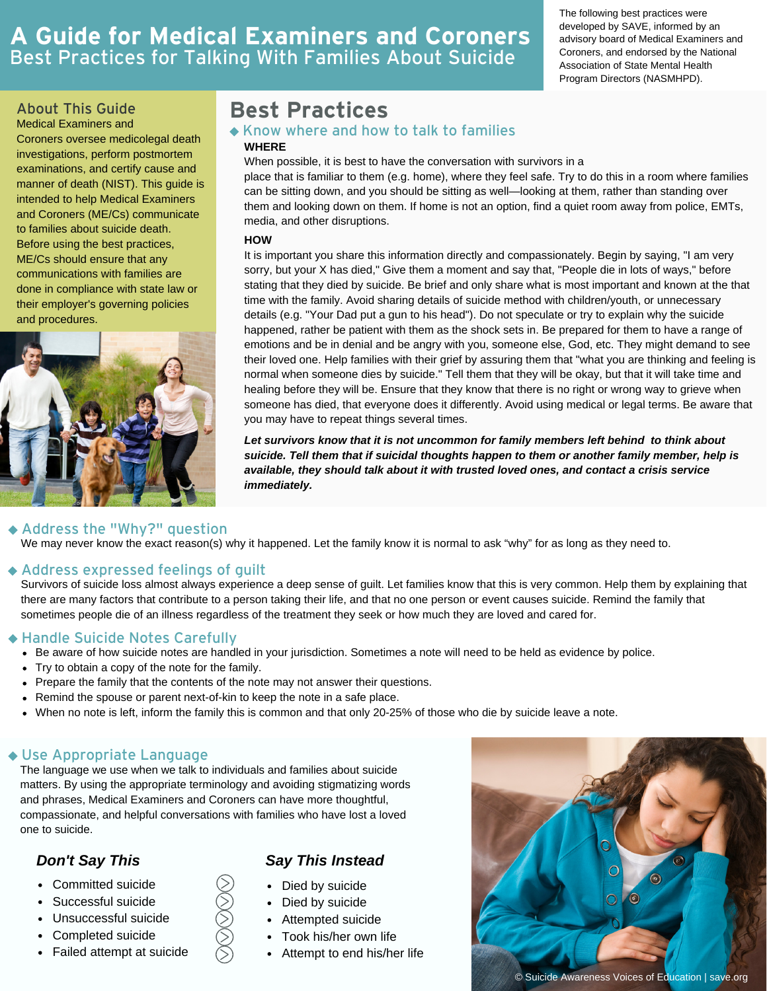# **A Guide for Medical Examiners and Coroners** Best Practices for Talking With Families About Suicide

The following best practices were developed by SAVE, informed by an advisory board of Medical Examiners and Coroners, and endorsed by the National Association of State Mental Health Program Directors (NASMHPD).

Medical Examiners and Coroners oversee medicolegal death investigations, perform postmortem examinations, and certify cause and manner of death (NIST). This guide is intended to help Medical Examiners and Coroners (ME/Cs) communicate to families about suicide death. Before using the best practices, ME/Cs should ensure that any communications with families are done in compliance with state law or their employer's governing policies and procedures.



# About This Guide **Best Practices**

### **WHERE** Know where and how to talk to families

When possible, it is best to have the conversation with survivors in a

place that is familiar to them (e.g. home), where they feel safe. Try to do this in a room where families can be sitting down, and you should be sitting as well—looking at them, rather than standing over them and looking down on them. If home is not an option, find a quiet room away from police, EMTs, media, and other disruptions.

#### **HOW**

It is important you share this information directly and compassionately. Begin by saying, "I am very sorry, but your X has died," Give them a moment and say that, "People die in lots of ways," before stating that they died by suicide. Be brief and only share what is most important and known at the that time with the family. Avoid sharing details of suicide method with children/youth, or unnecessary details (e.g. "Your Dad put a gun to his head"). Do not speculate or try to explain why the suicide happened, rather be patient with them as the shock sets in. Be prepared for them to have a range of emotions and be in denial and be angry with you, someone else, God, etc. They might demand to see their loved one. Help families with their grief by assuring them that "what you are thinking and feeling is normal when someone dies by suicide." Tell them that they will be okay, but that it will take time and healing before they will be. Ensure that they know that there is no right or wrong way to grieve when someone has died, that everyone does it differently. Avoid using medical or legal terms. Be aware that you may have to repeat things several times.

*Let survivors know that it is not uncommon for family members left behind to think about suicide. Tell them that if suicidal thoughts happen to them or another family member, help is available, they should talk about it with trusted loved ones, and contact a crisis service immediately.*

#### We may never know the exact reason(s) why it happened. Let the family know it is normal to ask "why" for as long as they need to. Address the "Why?" question

Address expressed feelings of guilt

Survivors of suicide loss almost always experience a deep sense of guilt. Let families know that this is very common. Help them by explaining that there are many factors that contribute to a person taking their life, and that no one person or event causes suicide. Remind the family that sometimes people die of an illness regardless of the treatment they seek or how much they are loved and cared for.

### Handle Suicide Notes Carefully

- Be aware of how suicide notes are handled in your jurisdiction. Sometimes a note will need to be held as evidence by police.
- Try to obtain a copy of the note for the family.
- Prepare the family that the contents of the note may not answer their questions.
- Remind the spouse or parent next-of-kin to keep the note in a safe place.
- When no note is left, inform the family this is common and that only 20-25% of those who die by suicide leave a note.

# Use Appropriate Language

The language we use when we talk to individuals and families about suicide matters. By using the appropriate terminology and avoiding stigmatizing words and phrases, Medical Examiners and Coroners can have more thoughtful, compassionate, and helpful conversations with families who have lost a loved one to suicide.

- Committed suicide
- Successful suicide
- Unsuccessful suicide
- Completed suicide
- Failed attempt at suicide

# *Don't Say This Say This Instead*

- Died by suicide
- Died by suicide
- Attempted suicide
- Took his/her own life
- Attempt to end his/her life